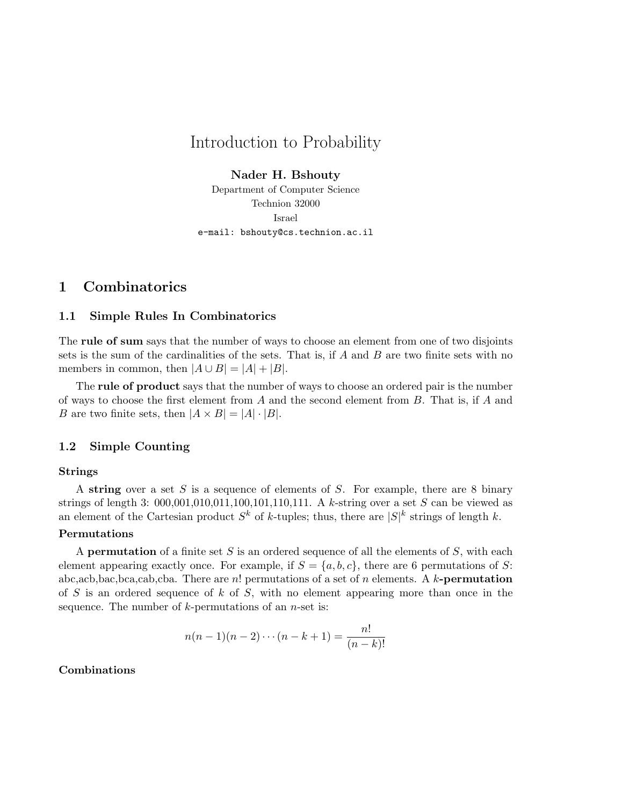# Introduction to Probability

Nader H. Bshouty

Department of Computer Science Technion 32000 Israel e-mail: bshouty@cs.technion.ac.il

# 1 Combinatorics

# 1.1 Simple Rules In Combinatorics

The rule of sum says that the number of ways to choose an element from one of two disjoints sets is the sum of the cardinalities of the sets. That is, if  $A$  and  $B$  are two finite sets with no members in common, then  $|A \cup B| = |A| + |B|$ .

The rule of product says that the number of ways to choose an ordered pair is the number of ways to choose the first element from  $A$  and the second element from  $B$ . That is, if  $A$  and B are two finite sets, then  $|A \times B| = |A| \cdot |B|$ .

# 1.2 Simple Counting

# Strings

A string over a set S is a sequence of elements of S. For example, there are 8 binary strings of length 3:  $000,001,010,011,100,101,110,111$ . A k-string over a set S can be viewed as an element of the Cartesian product  $S^k$  of k-tuples; thus, there are  $|S|^k$  strings of length k.

# Permutations

A **permutation** of a finite set  $S$  is an ordered sequence of all the elements of  $S$ , with each element appearing exactly once. For example, if  $S = \{a, b, c\}$ , there are 6 permutations of S: abc,acb,bac,bca,cab,cba. There are n! permutations of a set of n elements. A k-**permutation** of S is an ordered sequence of k of S, with no element appearing more than once in the sequence. The number of  $k$ -permutations of an *n*-set is:

$$
n(n-1)(n-2)\cdots(n-k+1) = \frac{n!}{(n-k)!}
$$

# Combinations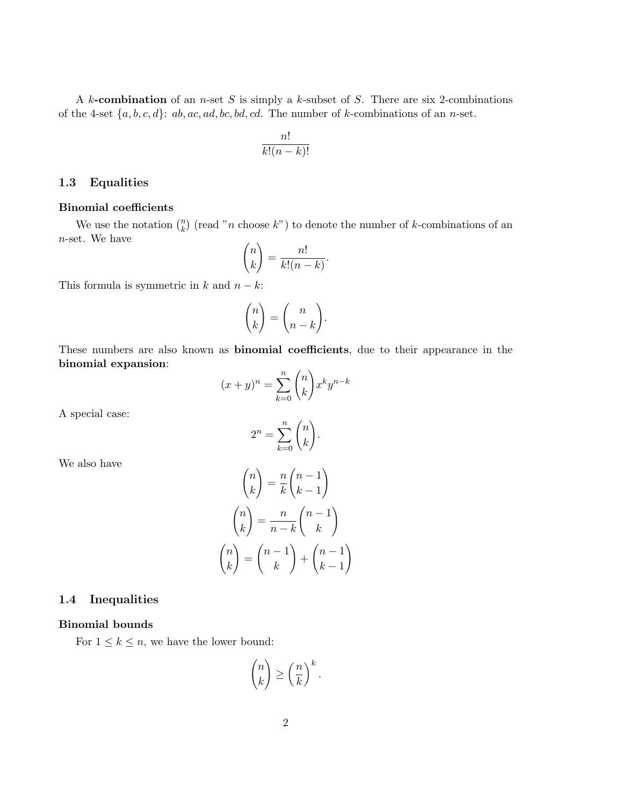A  $k$ -combination of an *n*-set  $S$  is simply a  $k$ -subset of  $S$ . There are six 2-combinations of the 4-set  $\{a, b, c, d\}$ :  $ab, ac, ad, bc, bd, cd$ . The number of k-combinations of an n-set.

$$
\frac{n!}{k!(n-k)!}
$$

## 1.3 Equalities

#### Binomial coefficients

We use the notation  $\binom{n}{k}$ (read "*n* choose  $k$ ") to denote the number of k-combinations of an n-set. We have  $\overline{a}$ !<br>}

$$
\binom{n}{k} = \frac{n!}{k!(n-k)}.
$$

This formula is symmetric in  $k$  and  $n - k$ :

$$
\binom{n}{k} = \binom{n}{n-k}.
$$

These numbers are also known as binomial coefficients, due to their appearance in the binomial expansion:  $\overline{a}$ !<br>!

$$
(x+y)^n = \sum_{k=0}^n \binom{n}{k} x^k y^{n-k}
$$

A special case:

$$
2^n = \sum_{k=0}^n \binom{n}{k}.
$$

We also have

$$
\binom{n}{k} = \frac{n}{k} \binom{n-1}{k-1}
$$

$$
\binom{n}{k} = \frac{n}{n-k} \binom{n-1}{k}
$$

$$
\binom{n}{k} = \binom{n-1}{k} + \binom{n-1}{k-1}
$$

# 1.4 Inequalities

#### Binomial bounds

For  $1 \leq k \leq n$ , we have the lower bound:

$$
\binom{n}{k} \ge \left(\frac{n}{k}\right)^k.
$$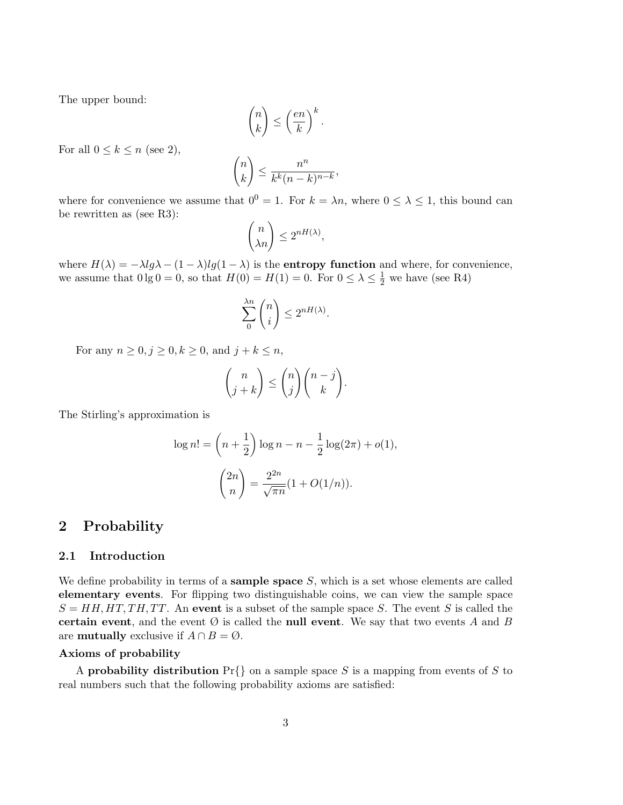The upper bound:

$$
\binom{n}{k} \le \left(\frac{en}{k}\right)^k.
$$

For all  $0 \leq k \leq n$  (see 2),

$$
\binom{n}{k} \le \frac{n^n}{k^k (n-k)^{n-k}},
$$

where for convenience we assume that  $0^0 = 1$ . For  $k = \lambda n$ , where  $0 \leq \lambda \leq 1$ , this bound can be rewritten as (see R3):  $\overline{a}$ 

$$
\binom{n}{\lambda n} \le 2^{nH(\lambda)},
$$

where  $H(\lambda) = -\lambda \lg \lambda - (1 - \lambda) \lg(1 - \lambda)$  is the **entropy function** and where, for convenience, we assume that  $0 \lg 0 = 0$ , so that  $H(0) = H(1) = 0$ . For  $0 \le \lambda \le \frac{1}{2}$  we have (see R4)

$$
\sum_{0}^{\lambda n} \binom{n}{i} \le 2^{nH(\lambda)}.
$$

For any  $n \geq 0, j \geq 0, k \geq 0$ , and  $j + k \leq n$ ,

$$
\binom{n}{j+k} \leq \binom{n}{j} \binom{n-j}{k}.
$$

The Stirling's approximation is

$$
\log n! = \left(n + \frac{1}{2}\right) \log n - n - \frac{1}{2} \log(2\pi) + o(1),
$$

$$
\binom{2n}{n} = \frac{2^{2n}}{\sqrt{\pi n}} (1 + O(1/n)).
$$

# 2 Probability

### 2.1 Introduction

We define probability in terms of a **sample space**  $S$ , which is a set whose elements are called elementary events. For flipping two distinguishable coins, we can view the sample space  $S = HH, HT, TH, TT$ . An event is a subset of the sample space S. The event S is called the certain event, and the event  $\emptyset$  is called the null event. We say that two events A and B are **mutually** exclusive if  $A \cap B = \emptyset$ .

# Axioms of probability

A **probability distribution**  $Pr\{\}$  on a sample space S is a mapping from events of S to real numbers such that the following probability axioms are satisfied: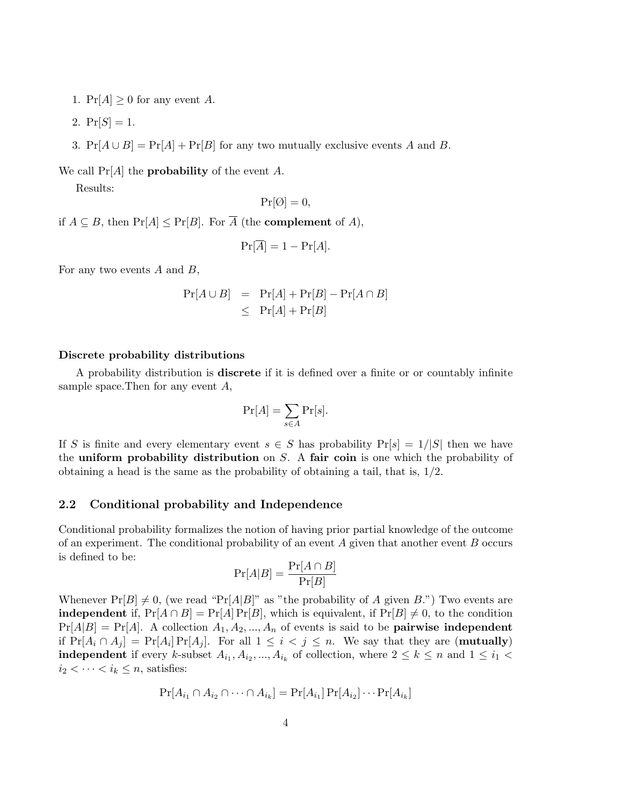- 1.  $Pr[A] \geq 0$  for any event A.
- 2.  $Pr[S] = 1$ .
- 3.  $Pr[A \cup B] = Pr[A] + Pr[B]$  for any two mutually exclusive events A and B.

We call  $Pr[A]$  the **probability** of the event A.

Results:

$$
\Pr[\emptyset] = 0,
$$

if  $A \subseteq B$ , then  $Pr[A] \leq Pr[B]$ . For  $\overline{A}$  (the **complement** of A),

$$
\Pr[\overline{A}] = 1 - \Pr[A].
$$

For any two events  $A$  and  $B$ ,

$$
Pr[A \cup B] = Pr[A] + Pr[B] - Pr[A \cap B]
$$
  

$$
\leq Pr[A] + Pr[B]
$$

#### Discrete probability distributions

A probability distribution is discrete if it is defined over a finite or or countably infinite sample space.Then for any event A,

$$
\Pr[A] = \sum_{s \in A} \Pr[s].
$$

If S is finite and every elementary event  $s \in S$  has probability  $Pr[s] = 1/|S|$  then we have the uniform probability distribution on  $S$ . A fair coin is one which the probability of obtaining a head is the same as the probability of obtaining a tail, that is, 1/2.

# 2.2 Conditional probability and Independence

Conditional probability formalizes the notion of having prior partial knowledge of the outcome of an experiment. The conditional probability of an event  $A$  given that another event  $B$  occurs is defined to be:

$$
\Pr[A|B] = \frac{\Pr[A \cap B]}{\Pr[B]}
$$

Whenever  $Pr[B] \neq 0$ , (we read "Pr[A|B]" as "the probability of A given B.") Two events are **independent** if,  $Pr[A \cap B] = Pr[A] Pr[B]$ , which is equivalent, if  $Pr[B] \neq 0$ , to the condition  $Pr[A|B] = Pr[A]$ . A collection  $A_1, A_2, ..., A_n$  of events is said to be **pairwise independent** if  $Pr[A_i \cap A_j] = Pr[A_i] Pr[A_j]$ . For all  $1 \leq i < j \leq n$ . We say that they are (**mutually**) **independent** if every k-subset  $A_{i_1}, A_{i_2}, ..., A_{i_k}$  of collection, where  $2 \leq k \leq n$  and  $1 \leq i_1$  $i_2 < \cdots < i_k \leq n$ , satisfies:

$$
\Pr[A_{i_1} \cap A_{i_2} \cap \cdots \cap A_{i_k}] = \Pr[A_{i_1}] \Pr[A_{i_2}] \cdots \Pr[A_{i_k}]
$$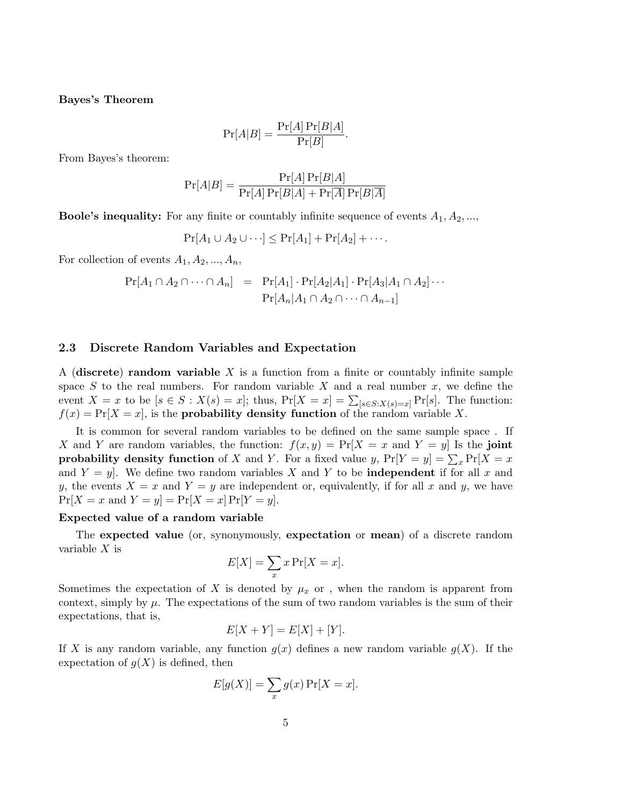#### Bayes's Theorem

$$
\Pr[A|B] = \frac{\Pr[A]\Pr[B|A]}{\Pr[B]}.
$$

From Bayes's theorem:

$$
\Pr[A|B] = \frac{\Pr[A]\Pr[B|A]}{\Pr[A]\Pr[B|A] + \Pr[\overline{A}]\Pr[B|\overline{A}]}
$$

**Boole's inequality:** For any finite or countably infinite sequence of events  $A_1, A_2, \ldots$ ,

 $Pr[A_1 \cup A_2 \cup \cdots] < Pr[A_1] + Pr[A_2] + \cdots$ .

For collection of events  $A_1, A_2, ..., A_n$ ,

$$
Pr[A_1 \cap A_2 \cap \cdots \cap A_n] = Pr[A_1] \cdot Pr[A_2|A_1] \cdot Pr[A_3|A_1 \cap A_2] \cdots
$$

$$
Pr[A_n|A_1 \cap A_2 \cap \cdots \cap A_{n-1}]
$$

### 2.3 Discrete Random Variables and Expectation

A (discrete) random variable  $X$  is a function from a finite or countably infinite sample space S to the real numbers. For random variable X and a real number  $x$ , we define the event  $X = x$  to be  $[s \in S : X(s) = x]$ ; thus,  $Pr[X = x] = \sum_{[s \in S : X(s) = x]} Pr[s]$ . The function:  $f(x) = Pr[X = x]$ , is the **probability density function** of the random variable X.

It is common for several random variables to be defined on the same sample space . If X and Y are random variables, the function:  $f(x, y) = Pr[X = x \text{ and } Y = y]$  Is the joint probability density function of X and Y. For a fixed value y,  $Pr[Y = y] = \sum_x Pr[X = x]$ and  $Y = y$ . We define two random variables X and Y to be **independent** if for all x and y, the events  $X = x$  and  $Y = y$  are independent or, equivalently, if for all x and y, we have  $Pr[X = x \text{ and } Y = y] = Pr[X = x] Pr[Y = y].$ 

# Expected value of a random variable

The expected value (or, synonymously, expectation or mean) of a discrete random variable  $X$  is

$$
E[X] = \sum_{x} x \Pr[X = x].
$$

Sometimes the expectation of X is denoted by  $\mu_x$  or, when the random is apparent from context, simply by  $\mu$ . The expectations of the sum of two random variables is the sum of their expectations, that is,

$$
E[X + Y] = E[X] + [Y].
$$

If X is any random variable, any function  $g(x)$  defines a new random variable  $g(X)$ . If the expectation of  $g(X)$  is defined, then

$$
E[g(X)] = \sum_{x} g(x) \Pr[X = x].
$$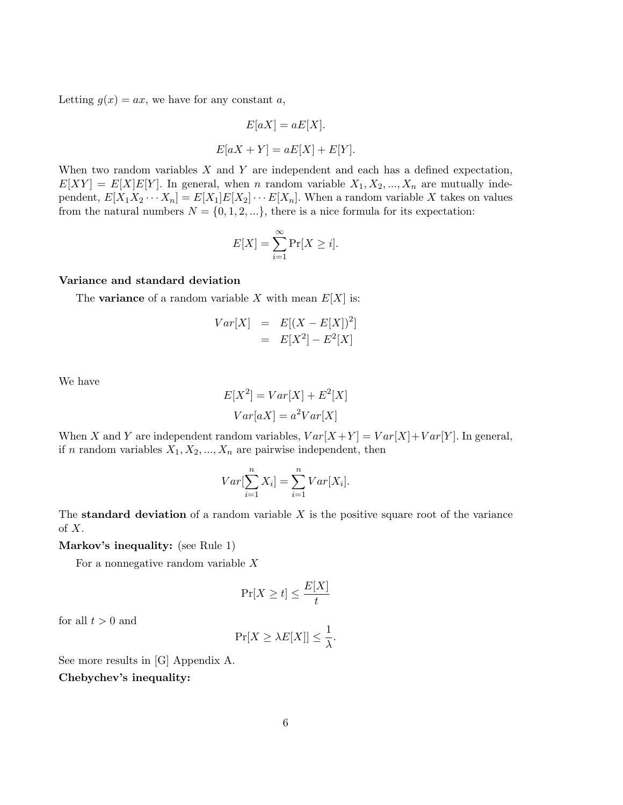Letting  $g(x) = ax$ , we have for any constant a,

$$
E[aX] = aE[X].
$$
  

$$
E[aX + Y] = aE[X] + E[Y].
$$

When two random variables  $X$  and  $Y$  are independent and each has a defined expectation,  $E[XY] = E[X]E[Y]$ . In general, when n random variable  $X_1, X_2, ..., X_n$  are mutually independent,  $E[X_1X_2\cdots X_n] = E[X_1]E[X_2]\cdots E[X_n]$ . When a random variable X takes on values from the natural numbers  $N = \{0, 1, 2, ...\}$ , there is a nice formula for its expectation:

$$
E[X] = \sum_{i=1}^{\infty} \Pr[X \ge i].
$$

## Variance and standard deviation

The **variance** of a random variable X with mean  $E[X]$  is:

$$
Var[X] = E[(X - E[X])^{2}]
$$
  
= E[X<sup>2</sup>] - E<sup>2</sup>[X]

We have

$$
E[X2] = Var[X] + E2[X]
$$

$$
Var[aX] = a2Var[X]
$$

When X and Y are independent random variables,  $Var[X+Y] = Var[X]+Var[Y]$ . In general, if n random variables  $X_1, X_2, ..., X_n$  are pairwise independent, then

$$
Var[\sum_{i=1}^{n} X_i] = \sum_{i=1}^{n} Var[X_i].
$$

The standard deviation of a random variable  $X$  is the positive square root of the variance of  $X$ .

Markov's inequality: (see Rule 1)

For a nonnegative random variable  $X$ 

$$
\Pr[X \ge t] \le \frac{E[X]}{t}
$$

for all  $t > 0$  and

$$
\Pr[X \ge \lambda E[X]] \le \frac{1}{\lambda}.
$$

See more results in [G] Appendix A.

Chebychev's inequality: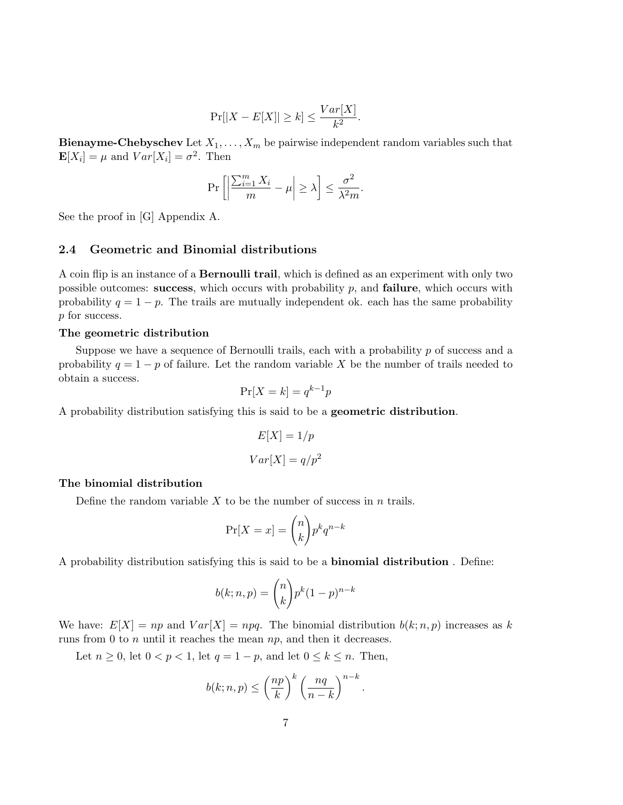$$
\Pr[|X - E[X]| \ge k] \le \frac{Var[X]}{k^2}.
$$

**Bienayme-Chebyschev** Let  $X_1, \ldots, X_m$  be pairwise independent random variables such that  $\mathbf{E}[X_i] = \mu$  and  $Var[X_i] = \sigma^2$ . Then

$$
\Pr\left[\left|\frac{\sum_{i=1}^{m} X_i}{m} - \mu\right| \ge \lambda\right] \le \frac{\sigma^2}{\lambda^2 m}.
$$

See the proof in [G] Appendix A.

#### 2.4 Geometric and Binomial distributions

A coin flip is an instance of a Bernoulli trail, which is defined as an experiment with only two possible outcomes: success, which occurs with probability  $p$ , and **failure**, which occurs with probability  $q = 1 - p$ . The trails are mutually independent ok. each has the same probability p for success.

#### The geometric distribution

Suppose we have a sequence of Bernoulli trails, each with a probability p of success and a probability  $q = 1 - p$  of failure. Let the random variable X be the number of trails needed to obtain a success.

$$
\Pr[X=k] = q^{k-1}p
$$

A probability distribution satisfying this is said to be a geometric distribution.

$$
E[X] = 1/p
$$

$$
Var[X] = q/p^2
$$

## The binomial distribution

Define the random variable  $X$  to be the number of success in  $n$  trails.

$$
\Pr[X = x] = \binom{n}{k} p^k q^{n-k}
$$

A probability distribution satisfying this is said to be a binomial distribution . Define:

$$
b(k; n, p) = \binom{n}{k} p^k (1-p)^{n-k}
$$

We have:  $E[X] = np$  and  $Var[X] = npq$ . The binomial distribution  $b(k; n, p)$  increases as k runs from 0 to  $n$  until it reaches the mean  $np$ , and then it decreases.

Let  $n \geq 0$ , let  $0 < p < 1$ , let  $q = 1 - p$ , and let  $0 \leq k \leq n$ . Then,

$$
b(k; n, p) \le \left(\frac{np}{k}\right)^k \left(\frac{nq}{n-k}\right)^{n-k}.
$$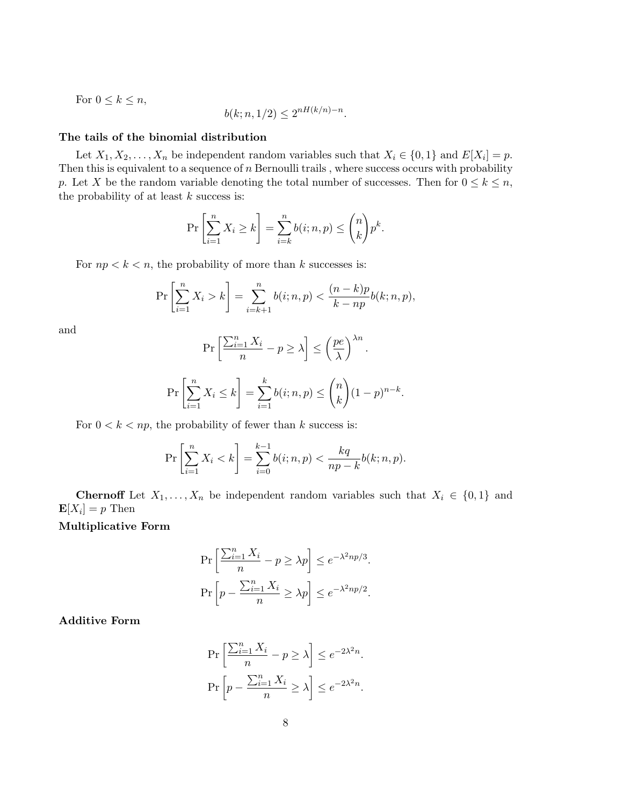For 
$$
0 \le k \le n
$$
,  

$$
b(k; n, 1/2) \le 2^{nH(k/n)-n}.
$$

#### The tails of the binomial distribution

Let  $X_1, X_2, \ldots, X_n$  be independent random variables such that  $X_i \in \{0, 1\}$  and  $E[X_i] = p$ . Then this is equivalent to a sequence of  $n$  Bernoulli trails, where success occurs with probability p. Let X be the random variable denoting the total number of successes. Then for  $0 \leq k \leq n$ , the probability of at least  $k$  success is:

$$
\Pr\left[\sum_{i=1}^n X_i \ge k\right] = \sum_{i=k}^n b(i; n, p) \le \binom{n}{k} p^k.
$$

For  $np < k < n$ , the probability of more than k successes is:

$$
\Pr\left[\sum_{i=1}^{n} X_i > k\right] = \sum_{i=k+1}^{n} b(i; n, p) < \frac{(n-k)p}{k - np} b(k; n, p),
$$

and

$$
\Pr\left[\frac{\sum_{i=1}^{n} X_i}{n} - p \ge \lambda\right] \le \left(\frac{pe}{\lambda}\right)^{\lambda n}.
$$

$$
\Pr\left[\sum_{i=1}^{n} X_i \le k\right] = \sum_{i=1}^{k} b(i; n, p) \le \binom{n}{k} (1-p)^{n-k}.
$$

For  $0 < k < np$ , the probability of fewer than k success is:

$$
\Pr\left[\sum_{i=1}^{n} X_i < k\right] = \sum_{i=0}^{k-1} b(i; n, p) < \frac{kq}{np - k} b(k; n, p).
$$

**Chernoff** Let  $X_1, \ldots, X_n$  be independent random variables such that  $X_i \in \{0,1\}$  and  $\mathbf{E}[X_i] = p$  Then

## Multiplicative Form

$$
\Pr\left[\frac{\sum_{i=1}^{n} X_i}{n} - p \ge \lambda p\right] \le e^{-\lambda^2 np/3}.
$$

$$
\Pr\left[p - \frac{\sum_{i=1}^{n} X_i}{n} \ge \lambda p\right] \le e^{-\lambda^2 np/2}.
$$

Additive Form

$$
\Pr\left[\frac{\sum_{i=1}^{n} X_i}{n} - p \ge \lambda\right] \le e^{-2\lambda^2 n}.
$$

$$
\Pr\left[p - \frac{\sum_{i=1}^{n} X_i}{n} \ge \lambda\right] \le e^{-2\lambda^2 n}.
$$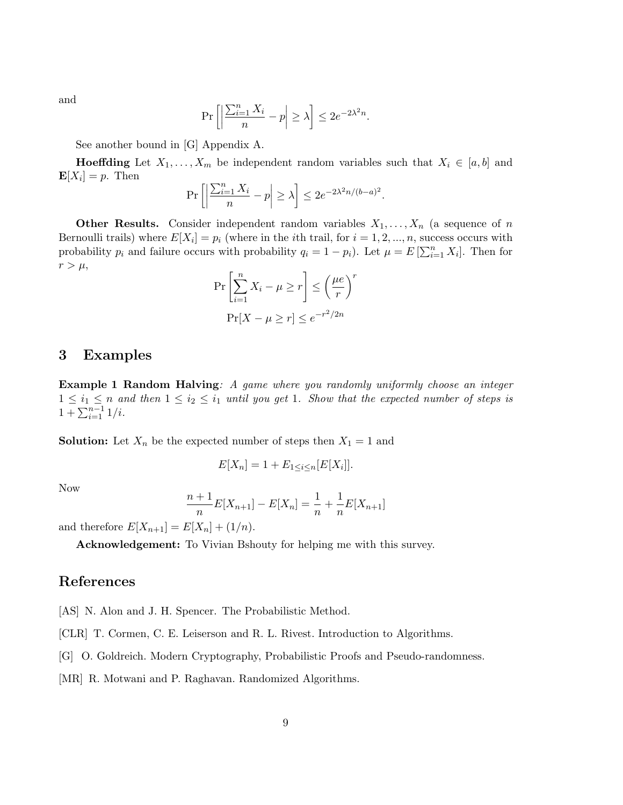and

$$
\Pr\left[\left|\frac{\sum_{i=1}^{n} X_i}{n} - p\right| \ge \lambda\right] \le 2e^{-2\lambda^2 n}.
$$

See another bound in [G] Appendix A.

**Hoeffding** Let  $X_1, \ldots, X_m$  be independent random variables such that  $X_i \in [a, b]$  and  $\mathbf{E}[X_i] = p$ . Then  $\overline{\nabla}$ <sup>n</sup>  $\overline{a}$  $\overline{a}$ 

$$
\Pr\left[\left|\frac{\sum_{i=1}^{n} X_i}{n} - p\right| \ge \lambda\right] \le 2e^{-2\lambda^2 n/(b-a)^2}.
$$

**Other Results.** Consider independent random variables  $X_1, \ldots, X_n$  (a sequence of n Bernoulli trails) where  $E[X_i] = p_i$  (where in the *i*th trail, for  $i = 1, 2, ..., n$ , success occurs with probability  $p_i$  and failure occurs with probability  $q_i = 1 - p_i$ ). Let  $\mu = E\left[\sum_{i=1}^n X_i\right]$ . Then for  $r > \mu$ , #

$$
\Pr\left[\sum_{i=1}^{n} X_i - \mu \ge r\right] \le \left(\frac{\mu e}{r}\right)^r
$$

$$
\Pr[X - \mu \ge r] \le e^{-r^2/2n}
$$

# 3 Examples

Example 1 Random Halving: A game where you randomly uniformly choose an integer  $1 \leq i_1 \leq n$  and then  $1 \leq i_2 \leq i_1$  until you get 1. Show that the expected number of steps is  $\frac{1}{1} + \sum_{i=1}^{n-1} \frac{1}{i}$ 

**Solution:** Let  $X_n$  be the expected number of steps then  $X_1 = 1$  and

$$
E[X_n] = 1 + E_{1 \le i \le n} [E[X_i]].
$$

Now

$$
\frac{n+1}{n}E[X_{n+1}] - E[X_n] = \frac{1}{n} + \frac{1}{n}E[X_{n+1}]
$$

and therefore  $E[X_{n+1}] = E[X_n] + (1/n)$ .

Acknowledgement: To Vivian Bshouty for helping me with this survey.

# References

[AS] N. Alon and J. H. Spencer. The Probabilistic Method.

[CLR] T. Cormen, C. E. Leiserson and R. L. Rivest. Introduction to Algorithms.

[G] O. Goldreich. Modern Cryptography, Probabilistic Proofs and Pseudo-randomness.

[MR] R. Motwani and P. Raghavan. Randomized Algorithms.